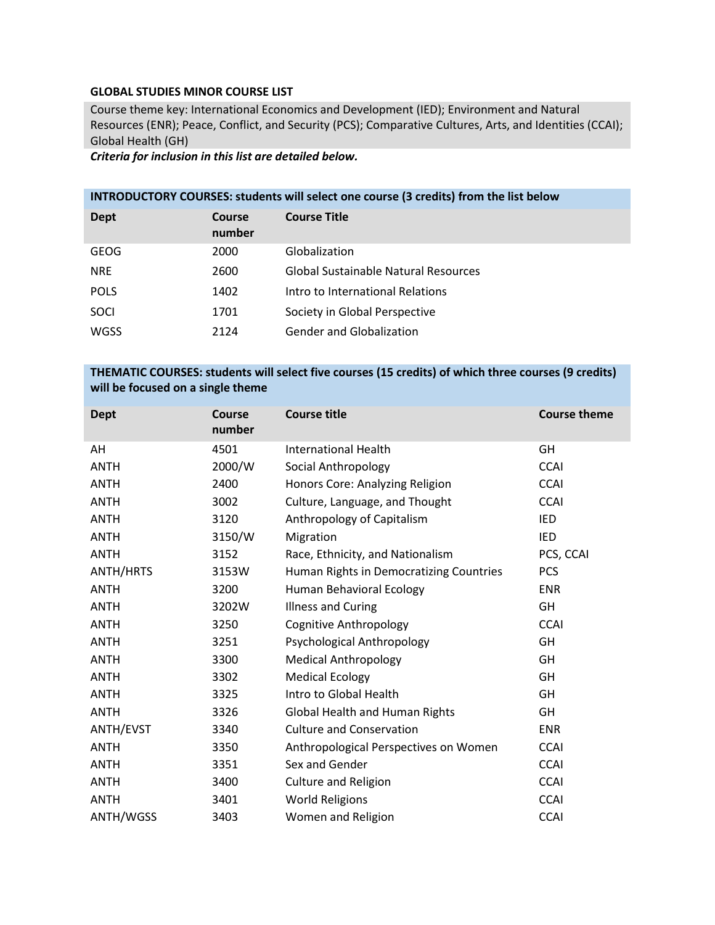## **GLOBAL STUDIES MINOR COURSE LIST**

Course theme key: International Economics and Development (IED); Environment and Natural Resources (ENR); Peace, Conflict, and Security (PCS); Comparative Cultures, Arts, and Identities (CCAI); Global Health (GH)

*Criteria for inclusion in this list are detailed below.*

## **INTRODUCTORY COURSES: students will select one course (3 credits) from the list below**

| Dept        | Course<br>number | <b>Course Title</b>                  |
|-------------|------------------|--------------------------------------|
| <b>GEOG</b> | 2000             | Globalization                        |
| <b>NRE</b>  | 2600             | Global Sustainable Natural Resources |
| <b>POLS</b> | 1402             | Intro to International Relations     |
| <b>SOCI</b> | 1701             | Society in Global Perspective        |
| <b>WGSS</b> | 2124             | <b>Gender and Globalization</b>      |

## **THEMATIC COURSES: students will select five courses (15 credits) of which three courses (9 credits) will be focused on a single theme**

| <b>Dept</b> | <b>Course</b><br>number | <b>Course title</b>                     | <b>Course theme</b> |
|-------------|-------------------------|-----------------------------------------|---------------------|
| AH          | 4501                    | <b>International Health</b>             | GH                  |
| <b>ANTH</b> | 2000/W                  | Social Anthropology                     | <b>CCAI</b>         |
| <b>ANTH</b> | 2400                    | Honors Core: Analyzing Religion         | <b>CCAI</b>         |
| <b>ANTH</b> | 3002                    | Culture, Language, and Thought          | <b>CCAI</b>         |
| <b>ANTH</b> | 3120                    | Anthropology of Capitalism              | IED                 |
| <b>ANTH</b> | 3150/W                  | Migration                               | IED                 |
| <b>ANTH</b> | 3152                    | Race, Ethnicity, and Nationalism        | PCS, CCAI           |
| ANTH/HRTS   | 3153W                   | Human Rights in Democratizing Countries | <b>PCS</b>          |
| <b>ANTH</b> | 3200                    | Human Behavioral Ecology                | <b>ENR</b>          |
| <b>ANTH</b> | 3202W                   | <b>Illness and Curing</b>               | GH                  |
| <b>ANTH</b> | 3250                    | Cognitive Anthropology                  | <b>CCAI</b>         |
| <b>ANTH</b> | 3251                    | Psychological Anthropology              | GH                  |
| <b>ANTH</b> | 3300                    | <b>Medical Anthropology</b>             | GH                  |
| <b>ANTH</b> | 3302                    | <b>Medical Ecology</b>                  | GH                  |
| <b>ANTH</b> | 3325                    | Intro to Global Health                  | GH                  |
| <b>ANTH</b> | 3326                    | <b>Global Health and Human Rights</b>   | GH                  |
| ANTH/EVST   | 3340                    | <b>Culture and Conservation</b>         | <b>ENR</b>          |
| <b>ANTH</b> | 3350                    | Anthropological Perspectives on Women   | <b>CCAI</b>         |
| <b>ANTH</b> | 3351                    | Sex and Gender                          | <b>CCAI</b>         |
| <b>ANTH</b> | 3400                    | <b>Culture and Religion</b>             | <b>CCAI</b>         |
| <b>ANTH</b> | 3401                    | <b>World Religions</b>                  | <b>CCAI</b>         |
| ANTH/WGSS   | 3403                    | Women and Religion                      | <b>CCAI</b>         |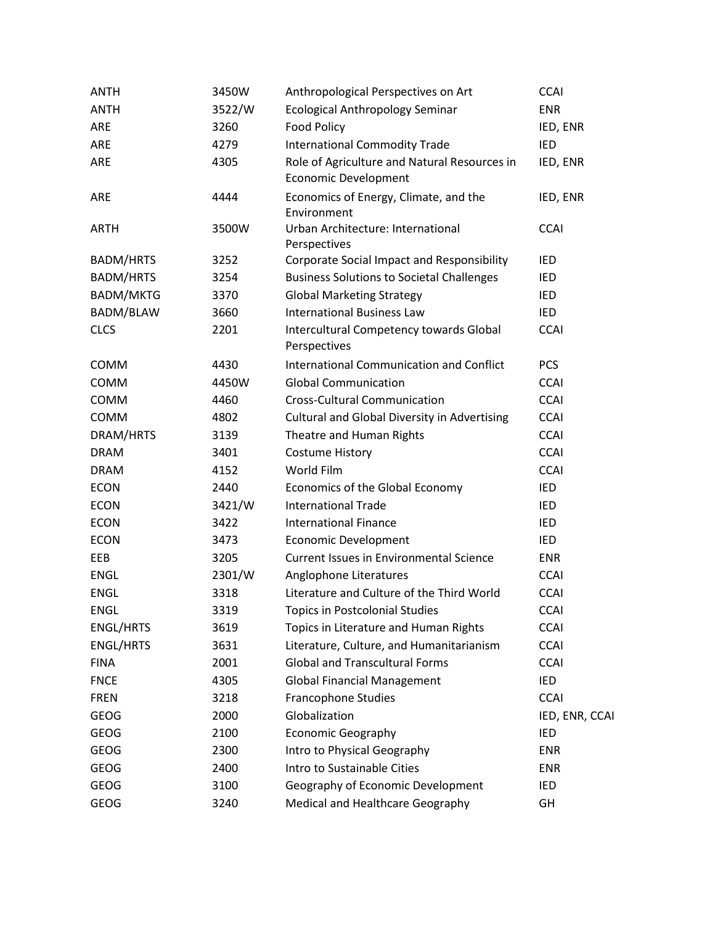| <b>ANTH</b>      | 3450W  | Anthropological Perspectives on Art                                         | <b>CCAI</b>    |
|------------------|--------|-----------------------------------------------------------------------------|----------------|
| <b>ANTH</b>      | 3522/W | <b>Ecological Anthropology Seminar</b>                                      | <b>ENR</b>     |
| ARE              | 3260   | <b>Food Policy</b>                                                          | IED, ENR       |
| ARE              | 4279   | <b>International Commodity Trade</b>                                        | IED            |
| ARE              | 4305   | Role of Agriculture and Natural Resources in<br><b>Economic Development</b> | IED, ENR       |
| ARE              | 4444   | Economics of Energy, Climate, and the<br>Environment                        | IED, ENR       |
| <b>ARTH</b>      | 3500W  | Urban Architecture: International<br>Perspectives                           | <b>CCAI</b>    |
| <b>BADM/HRTS</b> | 3252   | Corporate Social Impact and Responsibility                                  | IED            |
| <b>BADM/HRTS</b> | 3254   | <b>Business Solutions to Societal Challenges</b>                            | IED            |
| <b>BADM/MKTG</b> | 3370   | <b>Global Marketing Strategy</b>                                            | IED            |
| BADM/BLAW        | 3660   | <b>International Business Law</b>                                           | <b>IED</b>     |
| <b>CLCS</b>      | 2201   | Intercultural Competency towards Global<br>Perspectives                     | <b>CCAI</b>    |
| COMM             | 4430   | <b>International Communication and Conflict</b>                             | <b>PCS</b>     |
| COMM             | 4450W  | <b>Global Communication</b>                                                 | <b>CCAI</b>    |
| COMM             | 4460   | <b>Cross-Cultural Communication</b>                                         | <b>CCAI</b>    |
| COMM             | 4802   | Cultural and Global Diversity in Advertising                                | <b>CCAI</b>    |
| DRAM/HRTS        | 3139   | Theatre and Human Rights                                                    | <b>CCAI</b>    |
| <b>DRAM</b>      | 3401   | <b>Costume History</b>                                                      | <b>CCAI</b>    |
| <b>DRAM</b>      | 4152   | World Film                                                                  | <b>CCAI</b>    |
| <b>ECON</b>      | 2440   | Economics of the Global Economy                                             | IED            |
| <b>ECON</b>      | 3421/W | <b>International Trade</b>                                                  | IED            |
| <b>ECON</b>      | 3422   | <b>International Finance</b>                                                | <b>IED</b>     |
| <b>ECON</b>      | 3473   | <b>Economic Development</b>                                                 | IED            |
| EEB              | 3205   | <b>Current Issues in Environmental Science</b>                              | ENR            |
| <b>ENGL</b>      | 2301/W | Anglophone Literatures                                                      | <b>CCAI</b>    |
| <b>ENGL</b>      | 3318   | Literature and Culture of the Third World                                   | <b>CCAI</b>    |
| <b>ENGL</b>      | 3319   | <b>Topics in Postcolonial Studies</b>                                       | <b>CCAI</b>    |
| ENGL/HRTS        | 3619   | Topics in Literature and Human Rights                                       | <b>CCAI</b>    |
| <b>ENGL/HRTS</b> | 3631   | Literature, Culture, and Humanitarianism                                    | <b>CCAI</b>    |
| <b>FINA</b>      | 2001   | <b>Global and Transcultural Forms</b>                                       | <b>CCAI</b>    |
| <b>FNCE</b>      | 4305   | <b>Global Financial Management</b>                                          | IED            |
| <b>FREN</b>      | 3218   | <b>Francophone Studies</b>                                                  | <b>CCAI</b>    |
| <b>GEOG</b>      | 2000   | Globalization                                                               | IED, ENR, CCAI |
| <b>GEOG</b>      | 2100   | <b>Economic Geography</b>                                                   | IED            |
| <b>GEOG</b>      | 2300   | Intro to Physical Geography                                                 | <b>ENR</b>     |
| <b>GEOG</b>      | 2400   | Intro to Sustainable Cities                                                 | ENR            |
| <b>GEOG</b>      | 3100   | Geography of Economic Development                                           | IED            |
| <b>GEOG</b>      | 3240   | Medical and Healthcare Geography                                            | GH             |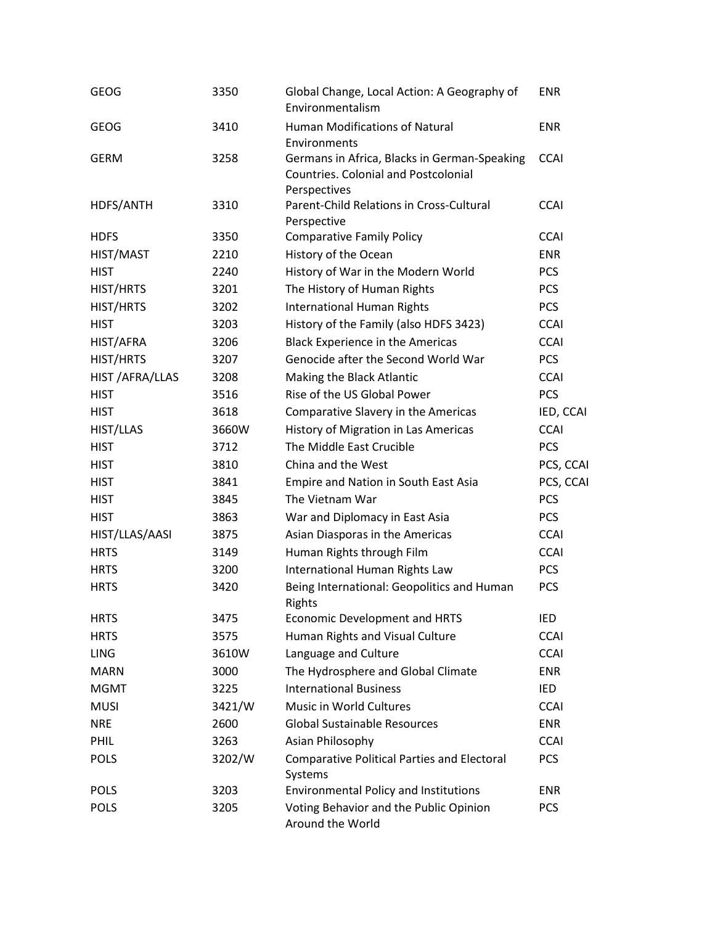| <b>GEOG</b>      | 3350   | Global Change, Local Action: A Geography of<br>Environmentalism                                             | <b>ENR</b>  |
|------------------|--------|-------------------------------------------------------------------------------------------------------------|-------------|
| <b>GEOG</b>      | 3410   | Human Modifications of Natural<br>Environments                                                              | <b>ENR</b>  |
| <b>GERM</b>      | 3258   | Germans in Africa, Blacks in German-Speaking<br><b>Countries. Colonial and Postcolonial</b><br>Perspectives | <b>CCAI</b> |
| HDFS/ANTH        | 3310   | Parent-Child Relations in Cross-Cultural<br>Perspective                                                     | <b>CCAI</b> |
| <b>HDFS</b>      | 3350   | <b>Comparative Family Policy</b>                                                                            | <b>CCAI</b> |
| HIST/MAST        | 2210   | History of the Ocean                                                                                        | <b>ENR</b>  |
| <b>HIST</b>      | 2240   | History of War in the Modern World                                                                          | <b>PCS</b>  |
| HIST/HRTS        | 3201   | The History of Human Rights                                                                                 | <b>PCS</b>  |
| HIST/HRTS        | 3202   | <b>International Human Rights</b>                                                                           | <b>PCS</b>  |
| <b>HIST</b>      | 3203   | History of the Family (also HDFS 3423)                                                                      | <b>CCAI</b> |
| HIST/AFRA        | 3206   | <b>Black Experience in the Americas</b>                                                                     | <b>CCAI</b> |
| HIST/HRTS        | 3207   | Genocide after the Second World War                                                                         | <b>PCS</b>  |
| HIST / AFRA/LLAS | 3208   | Making the Black Atlantic                                                                                   | <b>CCAI</b> |
| <b>HIST</b>      | 3516   | Rise of the US Global Power                                                                                 | <b>PCS</b>  |
| <b>HIST</b>      | 3618   | Comparative Slavery in the Americas                                                                         | IED, CCAI   |
| HIST/LLAS        | 3660W  | History of Migration in Las Americas                                                                        | <b>CCAI</b> |
| <b>HIST</b>      | 3712   | The Middle East Crucible                                                                                    | <b>PCS</b>  |
| <b>HIST</b>      | 3810   | China and the West                                                                                          | PCS, CCAI   |
| <b>HIST</b>      | 3841   | Empire and Nation in South East Asia                                                                        | PCS, CCAI   |
| <b>HIST</b>      | 3845   | The Vietnam War                                                                                             | <b>PCS</b>  |
| <b>HIST</b>      | 3863   | War and Diplomacy in East Asia                                                                              | <b>PCS</b>  |
| HIST/LLAS/AASI   | 3875   | Asian Diasporas in the Americas                                                                             | <b>CCAI</b> |
| <b>HRTS</b>      | 3149   | Human Rights through Film                                                                                   | <b>CCAI</b> |
| <b>HRTS</b>      | 3200   | International Human Rights Law                                                                              | <b>PCS</b>  |
| <b>HRTS</b>      | 3420   | Being International: Geopolitics and Human<br>Rights                                                        | <b>PCS</b>  |
| <b>HRTS</b>      | 3475   | Economic Development and HRTS                                                                               | IED         |
| <b>HRTS</b>      | 3575   | Human Rights and Visual Culture                                                                             | <b>CCAI</b> |
| <b>LING</b>      | 3610W  | Language and Culture                                                                                        | <b>CCAI</b> |
| <b>MARN</b>      | 3000   | The Hydrosphere and Global Climate                                                                          | <b>ENR</b>  |
| <b>MGMT</b>      | 3225   | <b>International Business</b>                                                                               | IED         |
| <b>MUSI</b>      | 3421/W | Music in World Cultures                                                                                     | <b>CCAI</b> |
| <b>NRE</b>       | 2600   | <b>Global Sustainable Resources</b>                                                                         | <b>ENR</b>  |
| PHIL             | 3263   | Asian Philosophy                                                                                            | <b>CCAI</b> |
| <b>POLS</b>      | 3202/W | <b>Comparative Political Parties and Electoral</b><br>Systems                                               | <b>PCS</b>  |
| <b>POLS</b>      | 3203   | <b>Environmental Policy and Institutions</b>                                                                | <b>ENR</b>  |
| <b>POLS</b>      | 3205   | Voting Behavior and the Public Opinion<br>Around the World                                                  | <b>PCS</b>  |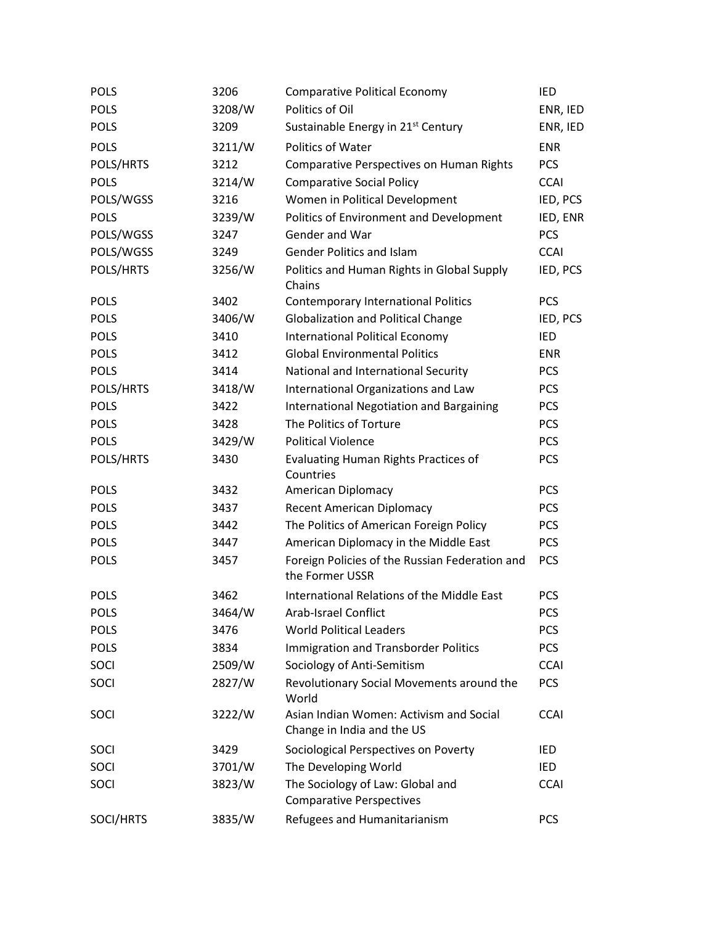| <b>POLS</b> | 3206   | <b>Comparative Political Economy</b>                                  | IED         |
|-------------|--------|-----------------------------------------------------------------------|-------------|
| <b>POLS</b> | 3208/W | Politics of Oil                                                       | ENR, IED    |
| <b>POLS</b> | 3209   | Sustainable Energy in 21 <sup>st</sup> Century                        | ENR, IED    |
| <b>POLS</b> | 3211/W | <b>Politics of Water</b>                                              | <b>ENR</b>  |
| POLS/HRTS   | 3212   | <b>Comparative Perspectives on Human Rights</b>                       | <b>PCS</b>  |
| <b>POLS</b> | 3214/W | <b>Comparative Social Policy</b>                                      | <b>CCAI</b> |
| POLS/WGSS   | 3216   | Women in Political Development                                        | IED, PCS    |
| <b>POLS</b> | 3239/W | Politics of Environment and Development                               | IED, ENR    |
| POLS/WGSS   | 3247   | Gender and War                                                        | <b>PCS</b>  |
| POLS/WGSS   | 3249   | <b>Gender Politics and Islam</b>                                      | <b>CCAI</b> |
| POLS/HRTS   | 3256/W | Politics and Human Rights in Global Supply<br>Chains                  | IED, PCS    |
| <b>POLS</b> | 3402   | <b>Contemporary International Politics</b>                            | <b>PCS</b>  |
| <b>POLS</b> | 3406/W | <b>Globalization and Political Change</b>                             | IED, PCS    |
| <b>POLS</b> | 3410   | <b>International Political Economy</b>                                | IED         |
| <b>POLS</b> | 3412   | <b>Global Environmental Politics</b>                                  | <b>ENR</b>  |
| <b>POLS</b> | 3414   | National and International Security                                   | <b>PCS</b>  |
| POLS/HRTS   | 3418/W | International Organizations and Law                                   | <b>PCS</b>  |
| <b>POLS</b> | 3422   | <b>International Negotiation and Bargaining</b>                       | <b>PCS</b>  |
| <b>POLS</b> | 3428   | The Politics of Torture                                               | <b>PCS</b>  |
| <b>POLS</b> | 3429/W | <b>Political Violence</b>                                             | <b>PCS</b>  |
| POLS/HRTS   | 3430   | <b>Evaluating Human Rights Practices of</b><br>Countries              | <b>PCS</b>  |
| <b>POLS</b> | 3432   | American Diplomacy                                                    | <b>PCS</b>  |
| <b>POLS</b> | 3437   | <b>Recent American Diplomacy</b>                                      | <b>PCS</b>  |
| <b>POLS</b> | 3442   | The Politics of American Foreign Policy                               | <b>PCS</b>  |
| <b>POLS</b> | 3447   | American Diplomacy in the Middle East                                 | <b>PCS</b>  |
| <b>POLS</b> | 3457   | Foreign Policies of the Russian Federation and<br>the Former USSR     | <b>PCS</b>  |
| <b>POLS</b> | 3462   | International Relations of the Middle East                            | <b>PCS</b>  |
| <b>POLS</b> | 3464/W | Arab-Israel Conflict                                                  | <b>PCS</b>  |
| <b>POLS</b> | 3476   | <b>World Political Leaders</b>                                        | <b>PCS</b>  |
| <b>POLS</b> | 3834   | <b>Immigration and Transborder Politics</b>                           | <b>PCS</b>  |
| SOCI        | 2509/W | Sociology of Anti-Semitism                                            | <b>CCAI</b> |
| SOCI        | 2827/W | Revolutionary Social Movements around the<br>World                    | <b>PCS</b>  |
| SOCI        | 3222/W | Asian Indian Women: Activism and Social<br>Change in India and the US | <b>CCAI</b> |
| SOCI        | 3429   | Sociological Perspectives on Poverty                                  | IED         |
| SOCI        | 3701/W | The Developing World                                                  | IED         |
| SOCI        | 3823/W | The Sociology of Law: Global and<br><b>Comparative Perspectives</b>   | <b>CCAI</b> |
| SOCI/HRTS   | 3835/W | Refugees and Humanitarianism                                          | <b>PCS</b>  |